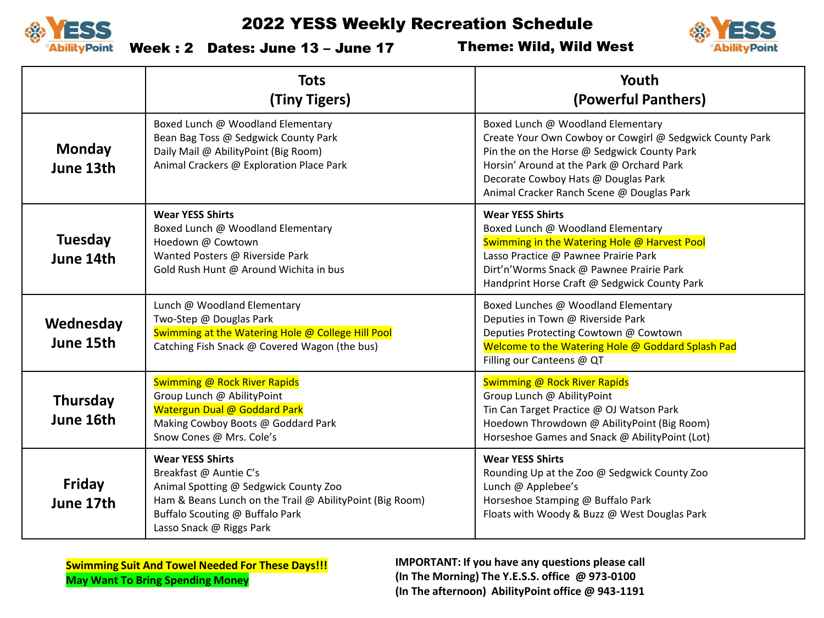



Week : 2 Dates: June 13 – June 17

Theme: Wild, Wild West

|                              | <b>Tots</b><br>(Tiny Tigers)                                                                                                                                                                                          | Youth<br>(Powerful Panthers)                                                                                                                                                                                                                                                  |
|------------------------------|-----------------------------------------------------------------------------------------------------------------------------------------------------------------------------------------------------------------------|-------------------------------------------------------------------------------------------------------------------------------------------------------------------------------------------------------------------------------------------------------------------------------|
| <b>Monday</b><br>June 13th   | Boxed Lunch @ Woodland Elementary<br>Bean Bag Toss @ Sedgwick County Park<br>Daily Mail @ AbilityPoint (Big Room)<br>Animal Crackers @ Exploration Place Park                                                         | Boxed Lunch @ Woodland Elementary<br>Create Your Own Cowboy or Cowgirl @ Sedgwick County Park<br>Pin the on the Horse @ Sedgwick County Park<br>Horsin' Around at the Park @ Orchard Park<br>Decorate Cowboy Hats @ Douglas Park<br>Animal Cracker Ranch Scene @ Douglas Park |
| <b>Tuesday</b><br>June 14th  | <b>Wear YESS Shirts</b><br>Boxed Lunch @ Woodland Elementary<br>Hoedown @ Cowtown<br>Wanted Posters @ Riverside Park<br>Gold Rush Hunt @ Around Wichita in bus                                                        | <b>Wear YESS Shirts</b><br>Boxed Lunch @ Woodland Elementary<br>Swimming in the Watering Hole @ Harvest Pool<br>Lasso Practice @ Pawnee Prairie Park<br>Dirt'n'Worms Snack @ Pawnee Prairie Park<br>Handprint Horse Craft @ Sedgwick County Park                              |
| Wednesday<br>June 15th       | Lunch @ Woodland Elementary<br>Two-Step @ Douglas Park<br>Swimming at the Watering Hole @ College Hill Pool<br>Catching Fish Snack @ Covered Wagon (the bus)                                                          | Boxed Lunches @ Woodland Elementary<br>Deputies in Town @ Riverside Park<br>Deputies Protecting Cowtown @ Cowtown<br>Welcome to the Watering Hole @ Goddard Splash Pad<br>Filling our Canteens @ QT                                                                           |
| <b>Thursday</b><br>June 16th | Swimming @ Rock River Rapids<br>Group Lunch @ AbilityPoint<br>Watergun Dual @ Goddard Park<br>Making Cowboy Boots @ Goddard Park<br>Snow Cones @ Mrs. Cole's                                                          | Swimming @ Rock River Rapids<br>Group Lunch @ AbilityPoint<br>Tin Can Target Practice @ OJ Watson Park<br>Hoedown Throwdown @ AbilityPoint (Big Room)<br>Horseshoe Games and Snack @ AbilityPoint (Lot)                                                                       |
| Friday<br>June 17th          | <b>Wear YESS Shirts</b><br>Breakfast @ Auntie C's<br>Animal Spotting @ Sedgwick County Zoo<br>Ham & Beans Lunch on the Trail @ AbilityPoint (Big Room)<br>Buffalo Scouting @ Buffalo Park<br>Lasso Snack @ Riggs Park | <b>Wear YESS Shirts</b><br>Rounding Up at the Zoo @ Sedgwick County Zoo<br>Lunch @ Applebee's<br>Horseshoe Stamping @ Buffalo Park<br>Floats with Woody & Buzz @ West Douglas Park                                                                                            |

**Swimming Suit And Towel Needed For These Days!!! May Want To Bring Spending Money**

**IMPORTANT: If you have any questions please call (In The Morning) The Y.E.S.S. office @ 973-0100 (In The afternoon) AbilityPoint office @ 943-1191**